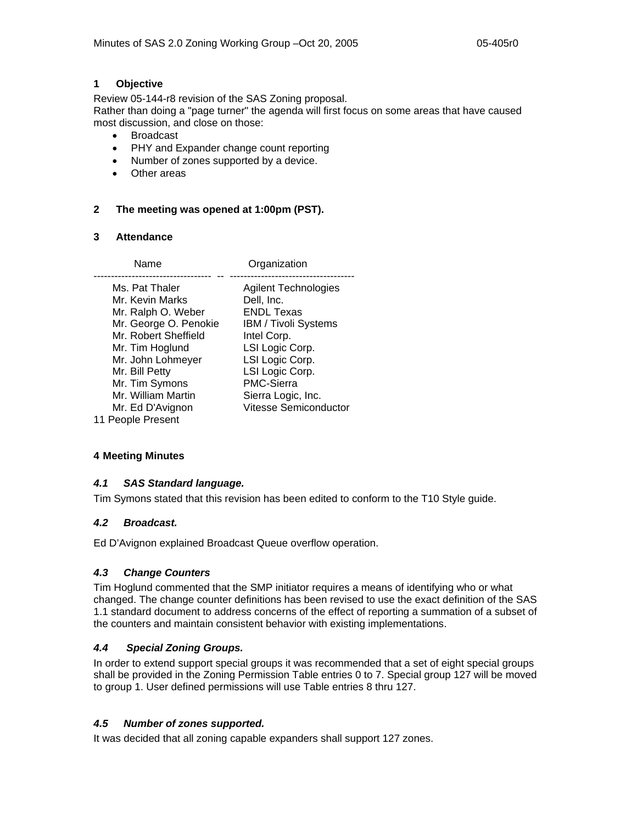## **1 Objective**

Review 05-144-r8 revision of the SAS Zoning proposal. Rather than doing a "page turner" the agenda will first focus on some areas that have caused most discussion, and close on those:

- Broadcast
- PHY and Expander change count reporting
- Number of zones supported by a device.
- Other areas

## **2 The meeting was opened at 1:00pm (PST).**

#### **3 Attendance**

| Name                                                                                                                                                                                                                           | Organization                                                                                                                                                                                                                |
|--------------------------------------------------------------------------------------------------------------------------------------------------------------------------------------------------------------------------------|-----------------------------------------------------------------------------------------------------------------------------------------------------------------------------------------------------------------------------|
| Ms. Pat Thaler<br>Mr. Kevin Marks<br>Mr. Ralph O. Weber<br>Mr. George O. Penokie<br>Mr. Robert Sheffield<br>Mr. Tim Hoglund<br>Mr. John Lohmeyer<br>Mr. Bill Petty<br>Mr. Tim Symons<br>Mr. William Martin<br>Mr. Ed D'Avignon | <b>Agilent Technologies</b><br>Dell, Inc.<br>ENDL Texas<br>IBM / Tivoli Systems<br>Intel Corp.<br>LSI Logic Corp.<br>LSI Logic Corp.<br>LSI Logic Corp.<br><b>PMC-Sierra</b><br>Sierra Logic, Inc.<br>Vitesse Semiconductor |
| 11 People Present                                                                                                                                                                                                              |                                                                                                                                                                                                                             |

## **4 Meeting Minutes**

## *4.1 SAS Standard language.*

Tim Symons stated that this revision has been edited to conform to the T10 Style guide.

## *4.2 Broadcast.*

Ed D'Avignon explained Broadcast Queue overflow operation.

## *4.3 Change Counters*

Tim Hoglund commented that the SMP initiator requires a means of identifying who or what changed. The change counter definitions has been revised to use the exact definition of the SAS 1.1 standard document to address concerns of the effect of reporting a summation of a subset of the counters and maintain consistent behavior with existing implementations.

## *4.4 Special Zoning Groups.*

In order to extend support special groups it was recommended that a set of eight special groups shall be provided in the Zoning Permission Table entries 0 to 7. Special group 127 will be moved to group 1. User defined permissions will use Table entries 8 thru 127.

# *4.5 Number of zones supported.*

It was decided that all zoning capable expanders shall support 127 zones.